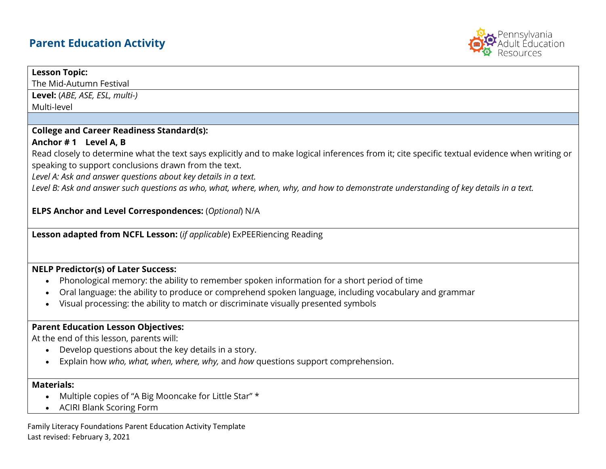# **Parent Education Activity**



#### **Lesson Topic:**

The Mid-Autumn Festival

**Level:** (*ABE, ASE, ESL, multi-)*

Multi-level

#### **College and Career Readiness Standard(s):**

## **Anchor # 1 Level A, B**

Read closely to determine what the text says explicitly and to make logical inferences from it; cite specific textual evidence when writing or speaking to support conclusions drawn from the text.

*Level A: Ask and answer questions about key details in a text.*

*Level B: Ask and answer such questions as who, what, where, when, why, and how to demonstrate understanding of key details in a text.*

**ELPS Anchor and Level Correspondences:** (*Optional*) N/A

**Lesson adapted from NCFL Lesson:** (*if applicable*) ExPEERiencing Reading

# **NELP Predictor(s) of Later Success:**

- Phonological memory: the ability to remember spoken information for a short period of time
- Oral language: the ability to produce or comprehend spoken language, including vocabulary and grammar
- Visual processing: the ability to match or discriminate visually presented symbols

#### **Parent Education Lesson Objectives:**

At the end of this lesson, parents will:

- Develop questions about the key details in a story.
- Explain how *who, what, when, where, why,* and *how* questions support comprehension.

# **Materials:**

- Multiple copies of "A Big Mooncake for Little Star" \*
- ACIRI Blank Scoring Form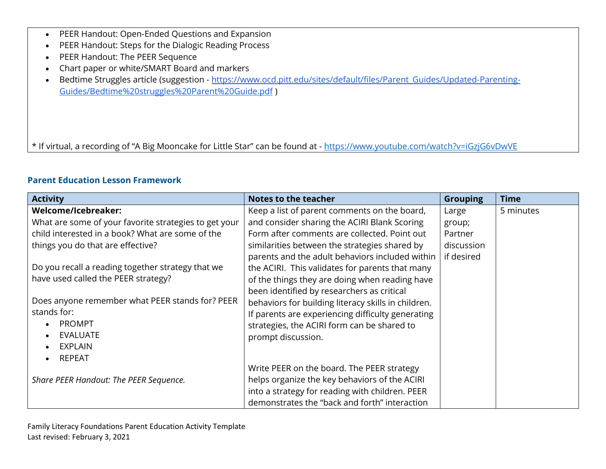- PEER Handout: Open-Ended Questions and Expansion
- PEER Handout: Steps for the Dialogic Reading Process
- PEER Handout: The PEER Sequence
- Chart paper or white/SMART Board and markers
- Bedtime Struggles article (suggestion [https://www.ocd.pitt.edu/sites/default/files/Parent\\_Guides/Updated-Parenting-](https://www.ocd.pitt.edu/sites/default/files/Parent_Guides/Updated-Parenting-Guides/Bedtime%20struggles%20Parent%20Guide.pdf)[Guides/Bedtime%20struggles%20Parent%20Guide.pdf](https://www.ocd.pitt.edu/sites/default/files/Parent_Guides/Updated-Parenting-Guides/Bedtime%20struggles%20Parent%20Guide.pdf) )

\* If virtual, a recording of "A Big Mooncake for Little Star" can be found at - <https://www.youtube.com/watch?v=iGzjG6vDwVE>

## **Parent Education Lesson Framework**

| <b>Activity</b>                                       | <b>Notes to the teacher</b>                         | <b>Grouping</b> | <b>Time</b> |
|-------------------------------------------------------|-----------------------------------------------------|-----------------|-------------|
| Welcome/Icebreaker:                                   | Keep a list of parent comments on the board,        | Large           | 5 minutes   |
| What are some of your favorite strategies to get your | and consider sharing the ACIRI Blank Scoring        | group;          |             |
| child interested in a book? What are some of the      | Form after comments are collected. Point out        | Partner         |             |
| things you do that are effective?                     | similarities between the strategies shared by       | discussion      |             |
|                                                       | parents and the adult behaviors included within     | if desired      |             |
| Do you recall a reading together strategy that we     | the ACIRI. This validates for parents that many     |                 |             |
| have used called the PEER strategy?                   | of the things they are doing when reading have      |                 |             |
|                                                       | been identified by researchers as critical          |                 |             |
| Does anyone remember what PEER stands for? PEER       | behaviors for building literacy skills in children. |                 |             |
| stands for:                                           | If parents are experiencing difficulty generating   |                 |             |
| <b>PROMPT</b>                                         | strategies, the ACIRI form can be shared to         |                 |             |
| <b>EVALUATE</b>                                       | prompt discussion.                                  |                 |             |
| <b>EXPLAIN</b>                                        |                                                     |                 |             |
| REPEAT                                                |                                                     |                 |             |
|                                                       | Write PEER on the board. The PEER strategy          |                 |             |
| Share PEER Handout: The PEER Sequence.                | helps organize the key behaviors of the ACIRI       |                 |             |
|                                                       | into a strategy for reading with children. PEER     |                 |             |
|                                                       | demonstrates the "back and forth" interaction       |                 |             |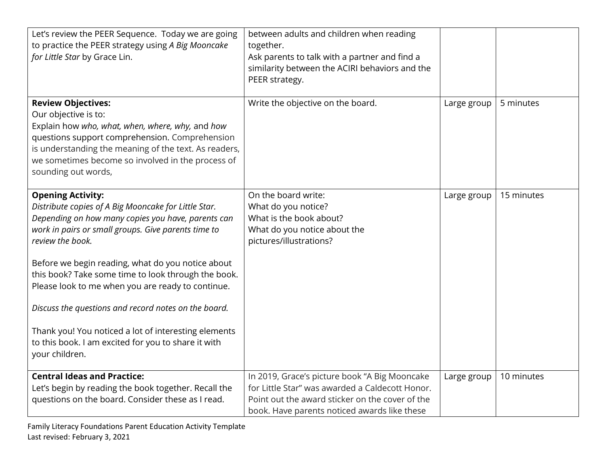| Let's review the PEER Sequence. Today we are going<br>to practice the PEER strategy using A Big Mooncake<br>for Little Star by Grace Lin.                                                                                                                                                                                                                                                                                                                                                                                                                                   | between adults and children when reading<br>together.<br>Ask parents to talk with a partner and find a<br>similarity between the ACIRI behaviors and the<br>PEER strategy.                          |             |            |
|-----------------------------------------------------------------------------------------------------------------------------------------------------------------------------------------------------------------------------------------------------------------------------------------------------------------------------------------------------------------------------------------------------------------------------------------------------------------------------------------------------------------------------------------------------------------------------|-----------------------------------------------------------------------------------------------------------------------------------------------------------------------------------------------------|-------------|------------|
| <b>Review Objectives:</b><br>Our objective is to:<br>Explain how who, what, when, where, why, and how<br>questions support comprehension. Comprehension<br>is understanding the meaning of the text. As readers,<br>we sometimes become so involved in the process of<br>sounding out words,                                                                                                                                                                                                                                                                                | Write the objective on the board.                                                                                                                                                                   | Large group | 5 minutes  |
| <b>Opening Activity:</b><br>Distribute copies of A Big Mooncake for Little Star.<br>Depending on how many copies you have, parents can<br>work in pairs or small groups. Give parents time to<br>review the book.<br>Before we begin reading, what do you notice about<br>this book? Take some time to look through the book.<br>Please look to me when you are ready to continue.<br>Discuss the questions and record notes on the board.<br>Thank you! You noticed a lot of interesting elements<br>to this book. I am excited for you to share it with<br>your children. | On the board write:<br>What do you notice?<br>What is the book about?<br>What do you notice about the<br>pictures/illustrations?                                                                    | Large group | 15 minutes |
| <b>Central Ideas and Practice:</b><br>Let's begin by reading the book together. Recall the<br>questions on the board. Consider these as I read.                                                                                                                                                                                                                                                                                                                                                                                                                             | In 2019, Grace's picture book "A Big Mooncake<br>for Little Star" was awarded a Caldecott Honor.<br>Point out the award sticker on the cover of the<br>book. Have parents noticed awards like these | Large group | 10 minutes |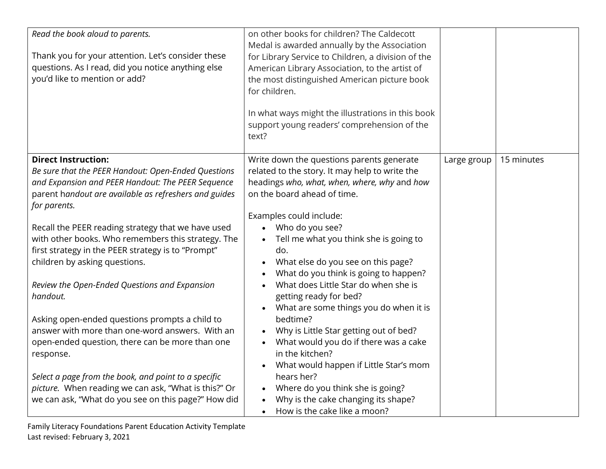| Read the book aloud to parents.<br>Thank you for your attention. Let's consider these<br>questions. As I read, did you notice anything else<br>you'd like to mention or add?                                                                                                                                                                                                                                                                                                                                                                                                                                                                                                                                                                                                                                                | on other books for children? The Caldecott<br>Medal is awarded annually by the Association<br>for Library Service to Children, a division of the<br>American Library Association, to the artist of<br>the most distinguished American picture book<br>for children.<br>In what ways might the illustrations in this book<br>support young readers' comprehension of the<br>text?                                                                                                                                                                                                                                                                                                                                                                                       |             |            |
|-----------------------------------------------------------------------------------------------------------------------------------------------------------------------------------------------------------------------------------------------------------------------------------------------------------------------------------------------------------------------------------------------------------------------------------------------------------------------------------------------------------------------------------------------------------------------------------------------------------------------------------------------------------------------------------------------------------------------------------------------------------------------------------------------------------------------------|------------------------------------------------------------------------------------------------------------------------------------------------------------------------------------------------------------------------------------------------------------------------------------------------------------------------------------------------------------------------------------------------------------------------------------------------------------------------------------------------------------------------------------------------------------------------------------------------------------------------------------------------------------------------------------------------------------------------------------------------------------------------|-------------|------------|
| <b>Direct Instruction:</b><br>Be sure that the PEER Handout: Open-Ended Questions<br>and Expansion and PEER Handout: The PEER Sequence<br>parent handout are available as refreshers and guides<br>for parents.<br>Recall the PEER reading strategy that we have used<br>with other books. Who remembers this strategy. The<br>first strategy in the PEER strategy is to "Prompt"<br>children by asking questions.<br>Review the Open-Ended Questions and Expansion<br>handout.<br>Asking open-ended questions prompts a child to<br>answer with more than one-word answers. With an<br>open-ended question, there can be more than one<br>response.<br>Select a page from the book, and point to a specific<br>picture. When reading we can ask, "What is this?" Or<br>we can ask, "What do you see on this page?" How did | Write down the questions parents generate<br>related to the story. It may help to write the<br>headings who, what, when, where, why and how<br>on the board ahead of time.<br>Examples could include:<br>Who do you see?<br>Tell me what you think she is going to<br>do.<br>What else do you see on this page?<br>What do you think is going to happen?<br>What does Little Star do when she is<br>getting ready for bed?<br>What are some things you do when it is<br>bedtime?<br>Why is Little Star getting out of bed?<br>What would you do if there was a cake<br>in the kitchen?<br>What would happen if Little Star's mom<br>hears her?<br>Where do you think she is going?<br>Why is the cake changing its shape?<br>How is the cake like a moon?<br>$\bullet$ | Large group | 15 minutes |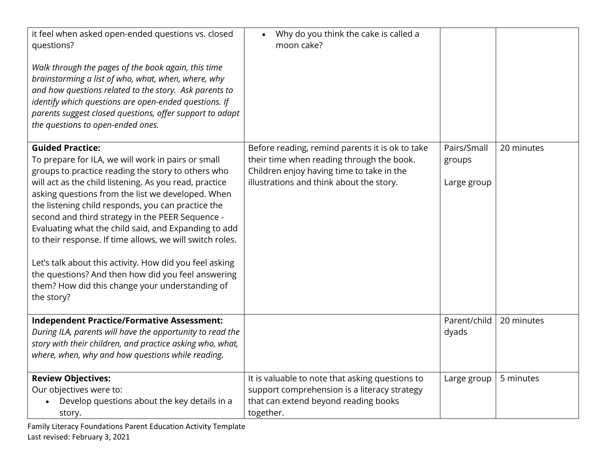| it feel when asked open-ended questions vs. closed<br>questions?<br>Walk through the pages of the book again, this time<br>brainstorming a list of who, what, when, where, why<br>and how questions related to the story. Ask parents to<br>identify which questions are open-ended questions. If<br>parents suggest closed questions, offer support to adapt<br>the questions to open-ended ones.                                                                                                                                                                                                                                                                 | Why do you think the cake is called a<br>$\bullet$<br>moon cake?                                                                                                                      |                                      |            |
|--------------------------------------------------------------------------------------------------------------------------------------------------------------------------------------------------------------------------------------------------------------------------------------------------------------------------------------------------------------------------------------------------------------------------------------------------------------------------------------------------------------------------------------------------------------------------------------------------------------------------------------------------------------------|---------------------------------------------------------------------------------------------------------------------------------------------------------------------------------------|--------------------------------------|------------|
| <b>Guided Practice:</b><br>To prepare for ILA, we will work in pairs or small<br>groups to practice reading the story to others who<br>will act as the child listening. As you read, practice<br>asking questions from the list we developed. When<br>the listening child responds, you can practice the<br>second and third strategy in the PEER Sequence -<br>Evaluating what the child said, and Expanding to add<br>to their response. If time allows, we will switch roles.<br>Let's talk about this activity. How did you feel asking<br>the questions? And then how did you feel answering<br>them? How did this change your understanding of<br>the story? | Before reading, remind parents it is ok to take<br>their time when reading through the book.<br>Children enjoy having time to take in the<br>illustrations and think about the story. | Pairs/Small<br>groups<br>Large group | 20 minutes |
| <b>Independent Practice/Formative Assessment:</b><br>During ILA, parents will have the opportunity to read the<br>story with their children, and practice asking who, what,<br>where, when, why and how questions while reading.                                                                                                                                                                                                                                                                                                                                                                                                                                   |                                                                                                                                                                                       | Parent/child<br>dyads                | 20 minutes |
| <b>Review Objectives:</b><br>Our objectives were to:<br>Develop questions about the key details in a<br>story.                                                                                                                                                                                                                                                                                                                                                                                                                                                                                                                                                     | It is valuable to note that asking questions to<br>support comprehension is a literacy strategy<br>that can extend beyond reading books<br>together.                                  | Large group                          | 5 minutes  |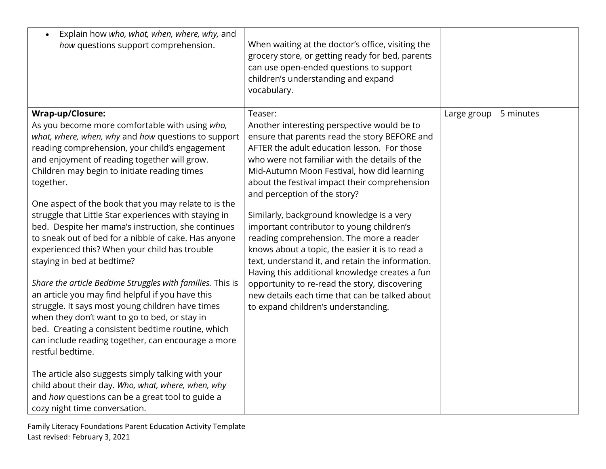| Explain how who, what, when, where, why, and<br>$\bullet$<br>how questions support comprehension.                                                                                                                                                                                                                                                                                                                                                                                                                                                                                                                                                                                                                                                                                                                                                                                                                                                                                                                                                                                                                                                             | When waiting at the doctor's office, visiting the<br>grocery store, or getting ready for bed, parents<br>can use open-ended questions to support<br>children's understanding and expand<br>vocabulary.                                                                                                                                                                                                                                                                                                                                                                                                                                                                                                                                                                          |             |           |
|---------------------------------------------------------------------------------------------------------------------------------------------------------------------------------------------------------------------------------------------------------------------------------------------------------------------------------------------------------------------------------------------------------------------------------------------------------------------------------------------------------------------------------------------------------------------------------------------------------------------------------------------------------------------------------------------------------------------------------------------------------------------------------------------------------------------------------------------------------------------------------------------------------------------------------------------------------------------------------------------------------------------------------------------------------------------------------------------------------------------------------------------------------------|---------------------------------------------------------------------------------------------------------------------------------------------------------------------------------------------------------------------------------------------------------------------------------------------------------------------------------------------------------------------------------------------------------------------------------------------------------------------------------------------------------------------------------------------------------------------------------------------------------------------------------------------------------------------------------------------------------------------------------------------------------------------------------|-------------|-----------|
| Wrap-up/Closure:<br>As you become more comfortable with using who,<br>what, where, when, why and how questions to support<br>reading comprehension, your child's engagement<br>and enjoyment of reading together will grow.<br>Children may begin to initiate reading times<br>together.<br>One aspect of the book that you may relate to is the<br>struggle that Little Star experiences with staying in<br>bed. Despite her mama's instruction, she continues<br>to sneak out of bed for a nibble of cake. Has anyone<br>experienced this? When your child has trouble<br>staying in bed at bedtime?<br>Share the article Bedtime Struggles with families. This is<br>an article you may find helpful if you have this<br>struggle. It says most young children have times<br>when they don't want to go to bed, or stay in<br>bed. Creating a consistent bedtime routine, which<br>can include reading together, can encourage a more<br>restful bedtime.<br>The article also suggests simply talking with your<br>child about their day. Who, what, where, when, why<br>and how questions can be a great tool to guide a<br>cozy night time conversation. | Teaser:<br>Another interesting perspective would be to<br>ensure that parents read the story BEFORE and<br>AFTER the adult education lesson. For those<br>who were not familiar with the details of the<br>Mid-Autumn Moon Festival, how did learning<br>about the festival impact their comprehension<br>and perception of the story?<br>Similarly, background knowledge is a very<br>important contributor to young children's<br>reading comprehension. The more a reader<br>knows about a topic, the easier it is to read a<br>text, understand it, and retain the information.<br>Having this additional knowledge creates a fun<br>opportunity to re-read the story, discovering<br>new details each time that can be talked about<br>to expand children's understanding. | Large group | 5 minutes |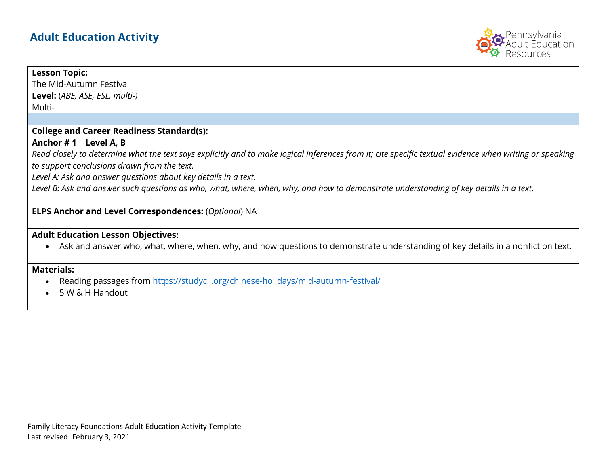# **Adult Education Activity**



#### **Lesson Topic:**

The Mid-Autumn Festival

**Level:** (*ABE, ASE, ESL, multi-)* Multi-

#### **College and Career Readiness Standard(s):**

#### **Anchor # 1 Level A, B**

*Read closely to determine what the text says explicitly and to make logical inferences from it; cite specific textual evidence when writing or speaking to support conclusions drawn from the text.*

*Level A: Ask and answer questions about key details in a text.*

Level B: Ask and answer such questions as who, what, where, when, why, and how to demonstrate understanding of key details in a text.

#### **ELPS Anchor and Level Correspondences:** (*Optional*) NA

## **Adult Education Lesson Objectives:**

• Ask and answer who, what, where, when, why, and how questions to demonstrate understanding of key details in a nonfiction text.

### **Materials:**

- Reading passages from<https://studycli.org/chinese-holidays/mid-autumn-festival/>
- 5 W & H Handout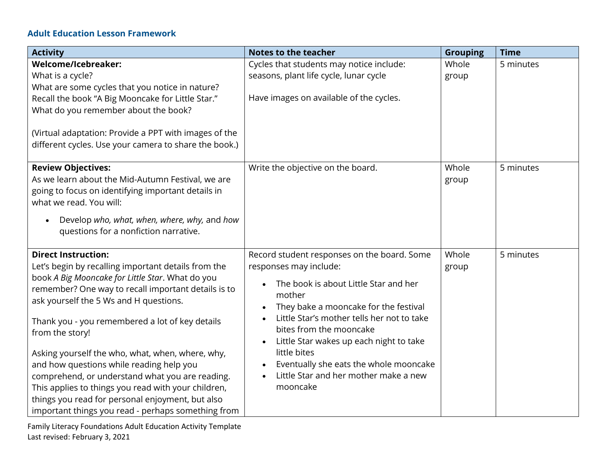# **Adult Education Lesson Framework**

| <b>Activity</b>                                                                                                | <b>Notes to the teacher</b>                 | <b>Grouping</b> | <b>Time</b> |
|----------------------------------------------------------------------------------------------------------------|---------------------------------------------|-----------------|-------------|
| Welcome/Icebreaker:                                                                                            | Cycles that students may notice include:    | Whole           | 5 minutes   |
| What is a cycle?                                                                                               | seasons, plant life cycle, lunar cycle      | group           |             |
| What are some cycles that you notice in nature?                                                                |                                             |                 |             |
| Recall the book "A Big Mooncake for Little Star."                                                              | Have images on available of the cycles.     |                 |             |
| What do you remember about the book?                                                                           |                                             |                 |             |
| (Virtual adaptation: Provide a PPT with images of the<br>different cycles. Use your camera to share the book.) |                                             |                 |             |
| <b>Review Objectives:</b>                                                                                      | Write the objective on the board.           | Whole           | 5 minutes   |
| As we learn about the Mid-Autumn Festival, we are                                                              |                                             | group           |             |
| going to focus on identifying important details in                                                             |                                             |                 |             |
| what we read. You will:                                                                                        |                                             |                 |             |
| Develop who, what, when, where, why, and how<br>questions for a nonfiction narrative.                          |                                             |                 |             |
| <b>Direct Instruction:</b>                                                                                     | Record student responses on the board. Some | Whole           | 5 minutes   |
| Let's begin by recalling important details from the                                                            | responses may include:                      | group           |             |
| book A Big Mooncake for Little Star. What do you                                                               | The book is about Little Star and her       |                 |             |
| remember? One way to recall important details is to                                                            | mother                                      |                 |             |
| ask yourself the 5 Ws and H questions.                                                                         | They bake a mooncake for the festival       |                 |             |
|                                                                                                                | Little Star's mother tells her not to take  |                 |             |
| Thank you - you remembered a lot of key details                                                                | bites from the mooncake                     |                 |             |
| from the story!                                                                                                | Little Star wakes up each night to take     |                 |             |
| Asking yourself the who, what, when, where, why,                                                               | little bites                                |                 |             |
| and how questions while reading help you                                                                       | Eventually she eats the whole mooncake      |                 |             |
| comprehend, or understand what you are reading.                                                                | Little Star and her mother make a new       |                 |             |
| This applies to things you read with your children,                                                            | mooncake                                    |                 |             |
| things you read for personal enjoyment, but also                                                               |                                             |                 |             |
| important things you read - perhaps something from                                                             |                                             |                 |             |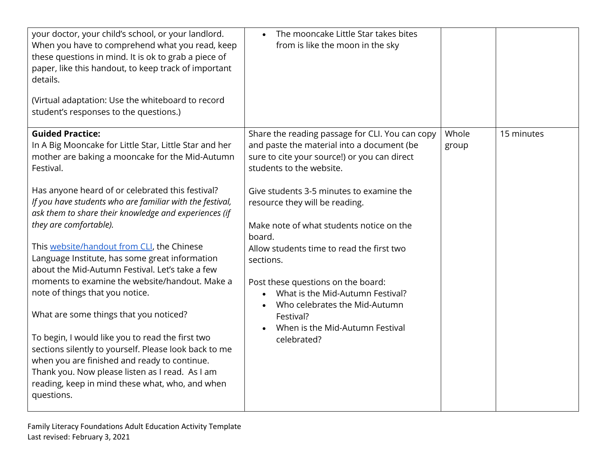| your doctor, your child's school, or your landlord.<br>When you have to comprehend what you read, keep<br>these questions in mind. It is ok to grab a piece of<br>paper, like this handout, to keep track of important<br>details.<br>(Virtual adaptation: Use the whiteboard to record<br>student's responses to the questions.)                                                                                                                                                                                                                                                                                                                                                                                                                                                                                                                                                                                       | The mooncake Little Star takes bites<br>from is like the moon in the sky                                                                                                                                                                                                                                                                                                                                                                                                                                                                          |                |            |
|-------------------------------------------------------------------------------------------------------------------------------------------------------------------------------------------------------------------------------------------------------------------------------------------------------------------------------------------------------------------------------------------------------------------------------------------------------------------------------------------------------------------------------------------------------------------------------------------------------------------------------------------------------------------------------------------------------------------------------------------------------------------------------------------------------------------------------------------------------------------------------------------------------------------------|---------------------------------------------------------------------------------------------------------------------------------------------------------------------------------------------------------------------------------------------------------------------------------------------------------------------------------------------------------------------------------------------------------------------------------------------------------------------------------------------------------------------------------------------------|----------------|------------|
| <b>Guided Practice:</b><br>In A Big Mooncake for Little Star, Little Star and her<br>mother are baking a mooncake for the Mid-Autumn<br>Festival.<br>Has anyone heard of or celebrated this festival?<br>If you have students who are familiar with the festival,<br>ask them to share their knowledge and experiences (if<br>they are comfortable).<br>This website/handout from CLI, the Chinese<br>Language Institute, has some great information<br>about the Mid-Autumn Festival. Let's take a few<br>moments to examine the website/handout. Make a<br>note of things that you notice.<br>What are some things that you noticed?<br>To begin, I would like you to read the first two<br>sections silently to yourself. Please look back to me<br>when you are finished and ready to continue.<br>Thank you. Now please listen as I read. As I am<br>reading, keep in mind these what, who, and when<br>questions. | Share the reading passage for CLI. You can copy<br>and paste the material into a document (be<br>sure to cite your source!) or you can direct<br>students to the website.<br>Give students 3-5 minutes to examine the<br>resource they will be reading.<br>Make note of what students notice on the<br>board.<br>Allow students time to read the first two<br>sections.<br>Post these questions on the board:<br>What is the Mid-Autumn Festival?<br>Who celebrates the Mid-Autumn<br>Festival?<br>When is the Mid-Autumn Festival<br>celebrated? | Whole<br>group | 15 minutes |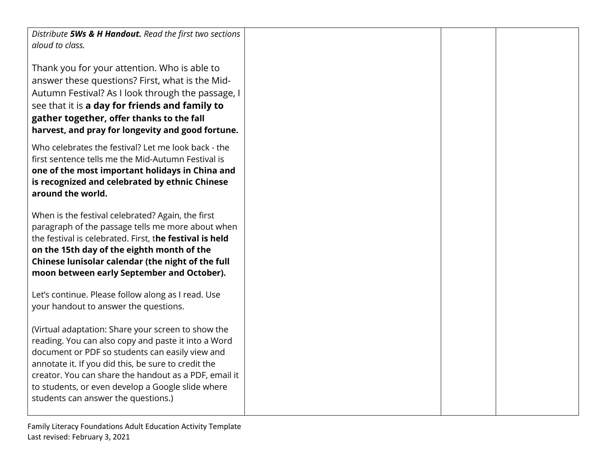*Distribute 5Ws & H Handout. Read the first two sections aloud to class.*

Thank you for your attention. Who is able to answer these questions? First, what is the Mid-Autumn Festival? As I look through the passage, I see that it is **a day for friends and family to gather together, offer thanks to the fall harvest, and pray for longevity and good fortune.**

Who celebrates the festival? Let me look back - the first sentence tells me the Mid-Autumn Festival is **one of the most important holidays in China and is recognized and celebrated by ethnic Chinese around the world.**

When is the festival celebrated? Again, the first paragraph of the passage tells me more about when the festival is celebrated. First, t**he festival is held on the 15th day of the eighth month of th[e](https://studycli.org/chinese-culture/chinese-calendar/) Chinese lunisolar calendar (the night of the full moon between early September and October).**

Let's continue. Please follow along as I read. Use your handout to answer the questions.

(Virtual adaptation: Share your screen to show the reading. You can also copy and paste it into a Word document or PDF so students can easily view and annotate it. If you did this, be sure to credit the creator. You can share the handout as a PDF, email it to students, or even develop a Google slide where students can answer the questions.)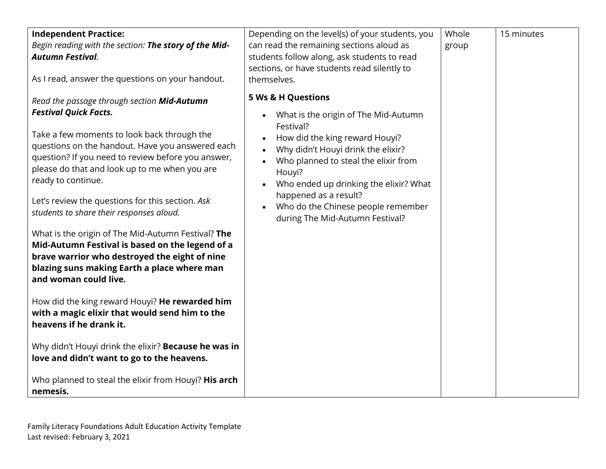| <b>Independent Practice:</b><br>Begin reading with the section: The story of the Mid-<br><b>Autumn Festival.</b><br>As I read, answer the questions on your handout.                                                                                                                                                                                                                                                                                                                                                                                                                                                                                                                                                                                                                                                                                                                                                                                   | Depending on the level(s) of your students, you<br>can read the remaining sections aloud as<br>students follow along, ask students to read<br>sections, or have students read silently to<br>themselves.                                                                                                                                                                           | Whole<br>group | 15 minutes |  |
|--------------------------------------------------------------------------------------------------------------------------------------------------------------------------------------------------------------------------------------------------------------------------------------------------------------------------------------------------------------------------------------------------------------------------------------------------------------------------------------------------------------------------------------------------------------------------------------------------------------------------------------------------------------------------------------------------------------------------------------------------------------------------------------------------------------------------------------------------------------------------------------------------------------------------------------------------------|------------------------------------------------------------------------------------------------------------------------------------------------------------------------------------------------------------------------------------------------------------------------------------------------------------------------------------------------------------------------------------|----------------|------------|--|
| Read the passage through section Mid-Autumn<br><b>Festival Quick Facts.</b><br>Take a few moments to look back through the<br>questions on the handout. Have you answered each<br>question? If you need to review before you answer,<br>please do that and look up to me when you are<br>ready to continue.<br>Let's review the questions for this section. Ask<br>students to share their responses aloud.<br>What is the origin of The Mid-Autumn Festival? The<br>Mid-Autumn Festival is based on the legend of a<br>brave warrior who destroyed the eight of nine<br>blazing suns making Earth a place where man<br>and woman could live.<br>How did the king reward Houyi? He rewarded him<br>with a magic elixir that would send him to the<br>heavens if he drank it.<br>Why didn't Houyi drink the elixir? Because he was in<br>love and didn't want to go to the heavens.<br>Who planned to steal the elixir from Houyi? His arch<br>nemesis. | <b>5 Ws &amp; H Questions</b><br>What is the origin of The Mid-Autumn<br>$\bullet$<br>Festival?<br>How did the king reward Houyi?<br>Why didn't Houyi drink the elixir?<br>Who planned to steal the elixir from<br>Houyi?<br>Who ended up drinking the elixir? What<br>$\bullet$<br>happened as a result?<br>Who do the Chinese people remember<br>during The Mid-Autumn Festival? |                |            |  |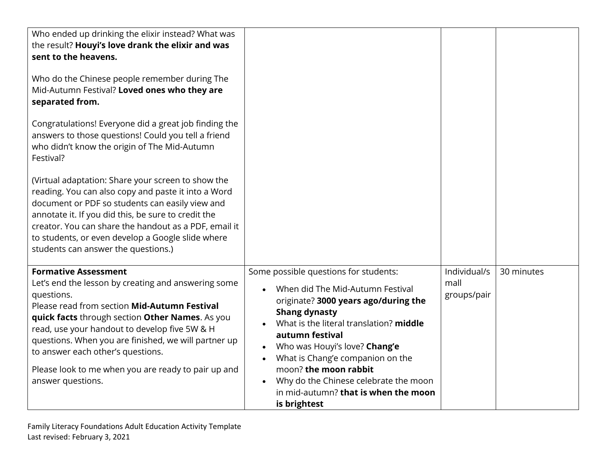| Who ended up drinking the elixir instead? What was<br>the result? Houyi's love drank the elixir and was<br>sent to the heavens.<br>Who do the Chinese people remember during The<br>Mid-Autumn Festival? Loved ones who they are<br>separated from.<br>Congratulations! Everyone did a great job finding the<br>answers to those questions! Could you tell a friend<br>who didn't know the origin of The Mid-Autumn<br>Festival?<br>(Virtual adaptation: Share your screen to show the<br>reading. You can also copy and paste it into a Word<br>document or PDF so students can easily view and<br>annotate it. If you did this, be sure to credit the<br>creator. You can share the handout as a PDF, email it<br>to students, or even develop a Google slide where<br>students can answer the questions.) |                                                                                                                                                                                                                                                                                                                                                                                                        |                                     |            |
|--------------------------------------------------------------------------------------------------------------------------------------------------------------------------------------------------------------------------------------------------------------------------------------------------------------------------------------------------------------------------------------------------------------------------------------------------------------------------------------------------------------------------------------------------------------------------------------------------------------------------------------------------------------------------------------------------------------------------------------------------------------------------------------------------------------|--------------------------------------------------------------------------------------------------------------------------------------------------------------------------------------------------------------------------------------------------------------------------------------------------------------------------------------------------------------------------------------------------------|-------------------------------------|------------|
| <b>Formative Assessment</b><br>Let's end the lesson by creating and answering some<br>questions.<br>Please read from section Mid-Autumn Festival<br>quick facts through section Other Names. As you<br>read, use your handout to develop five 5W & H<br>questions. When you are finished, we will partner up<br>to answer each other's questions.<br>Please look to me when you are ready to pair up and<br>answer questions.                                                                                                                                                                                                                                                                                                                                                                                | Some possible questions for students:<br>When did The Mid-Autumn Festival<br>originate? 3000 years ago/during the<br><b>Shang dynasty</b><br>What is the literal translation? middle<br>autumn festival<br>Who was Houyi's love? Chang'e<br>What is Chang'e companion on the<br>moon? the moon rabbit<br>Why do the Chinese celebrate the moon<br>in mid-autumn? that is when the moon<br>is brightest | Individual/s<br>mall<br>groups/pair | 30 minutes |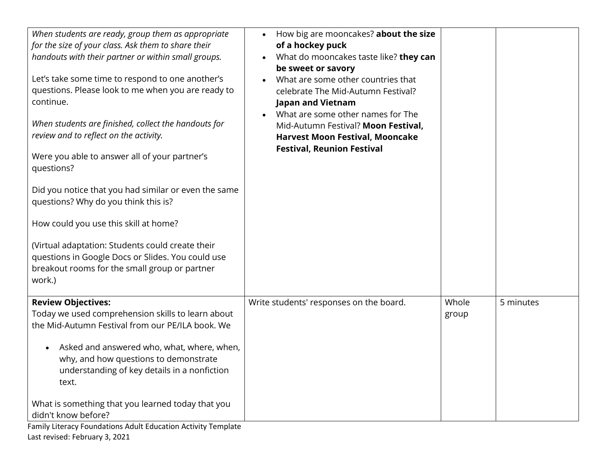| When students are ready, group them as appropriate<br>for the size of your class. Ask them to share their<br>handouts with their partner or within small groups.<br>Let's take some time to respond to one another's<br>questions. Please look to me when you are ready to<br>continue.<br>When students are finished, collect the handouts for<br>review and to reflect on the activity.<br>Were you able to answer all of your partner's<br>questions?<br>Did you notice that you had similar or even the same<br>questions? Why do you think this is?<br>How could you use this skill at home?<br>(Virtual adaptation: Students could create their<br>questions in Google Docs or Slides. You could use<br>breakout rooms for the small group or partner<br>work.) | How big are mooncakes? about the size<br>of a hockey puck<br>What do mooncakes taste like? they can<br>be sweet or savory<br>What are some other countries that<br>$\bullet$<br>celebrate The Mid-Autumn Festival?<br><b>Japan and Vietnam</b><br>What are some other names for The<br>Mid-Autumn Festival? Moon Festival,<br><b>Harvest Moon Festival, Mooncake</b><br><b>Festival, Reunion Festival</b> |                |           |
|-----------------------------------------------------------------------------------------------------------------------------------------------------------------------------------------------------------------------------------------------------------------------------------------------------------------------------------------------------------------------------------------------------------------------------------------------------------------------------------------------------------------------------------------------------------------------------------------------------------------------------------------------------------------------------------------------------------------------------------------------------------------------|-----------------------------------------------------------------------------------------------------------------------------------------------------------------------------------------------------------------------------------------------------------------------------------------------------------------------------------------------------------------------------------------------------------|----------------|-----------|
| <b>Review Objectives:</b><br>Today we used comprehension skills to learn about<br>the Mid-Autumn Festival from our PE/ILA book. We<br>Asked and answered who, what, where, when,<br>why, and how questions to demonstrate<br>understanding of key details in a nonfiction<br>text.<br>What is something that you learned today that you<br>didn't know before?<br>Family Literacy Foundations Adult Education Activity Template                                                                                                                                                                                                                                                                                                                                       | Write students' responses on the board.                                                                                                                                                                                                                                                                                                                                                                   | Whole<br>group | 5 minutes |

Last revised: February 3, 2021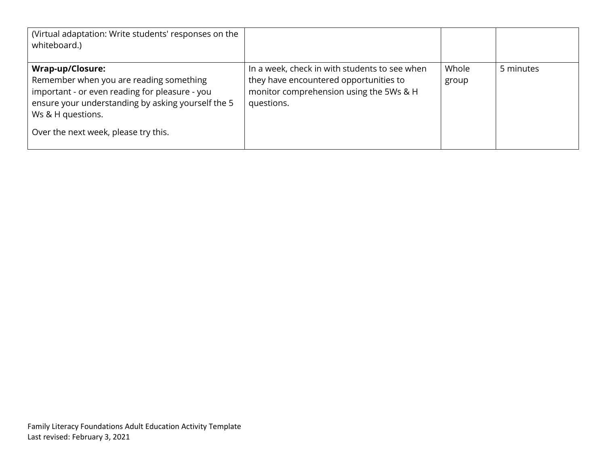| (Virtual adaptation: Write students' responses on the<br>whiteboard.)                                                                                                                                                                   |                                                                                                                                                  |                |           |
|-----------------------------------------------------------------------------------------------------------------------------------------------------------------------------------------------------------------------------------------|--------------------------------------------------------------------------------------------------------------------------------------------------|----------------|-----------|
| <b>Wrap-up/Closure:</b><br>Remember when you are reading something<br>important - or even reading for pleasure - you<br>ensure your understanding by asking yourself the 5<br>Ws & H questions.<br>Over the next week, please try this. | In a week, check in with students to see when<br>they have encountered opportunities to<br>monitor comprehension using the 5Ws & H<br>questions. | Whole<br>group | 5 minutes |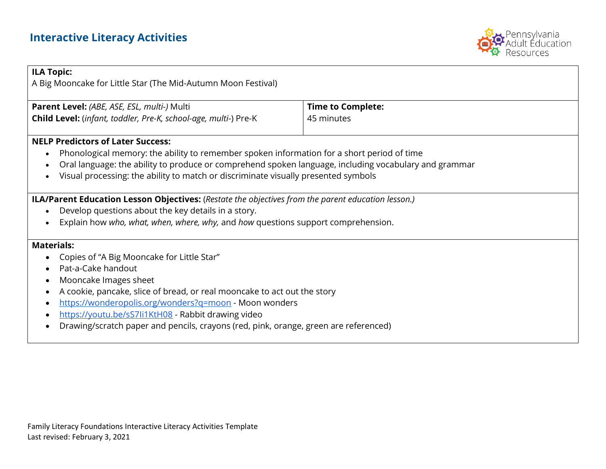

| <b>ILA Topic:</b>                                                                                                                                                                                                                                                                                                                                                                                                                          |                          |  |  |  |
|--------------------------------------------------------------------------------------------------------------------------------------------------------------------------------------------------------------------------------------------------------------------------------------------------------------------------------------------------------------------------------------------------------------------------------------------|--------------------------|--|--|--|
| A Big Mooncake for Little Star (The Mid-Autumn Moon Festival)                                                                                                                                                                                                                                                                                                                                                                              |                          |  |  |  |
| Parent Level: (ABE, ASE, ESL, multi-) Multi                                                                                                                                                                                                                                                                                                                                                                                                | <b>Time to Complete:</b> |  |  |  |
| Child Level: (infant, toddler, Pre-K, school-age, multi-) Pre-K                                                                                                                                                                                                                                                                                                                                                                            | 45 minutes               |  |  |  |
| <b>NELP Predictors of Later Success:</b><br>Phonological memory: the ability to remember spoken information for a short period of time<br>$\bullet$<br>Oral language: the ability to produce or comprehend spoken language, including vocabulary and grammar<br>$\bullet$<br>Visual processing: the ability to match or discriminate visually presented symbols<br>$\bullet$                                                               |                          |  |  |  |
| <b>ILA/Parent Education Lesson Objectives:</b> (Restate the objectives from the parent education lesson.)                                                                                                                                                                                                                                                                                                                                  |                          |  |  |  |
| Develop questions about the key details in a story.<br>$\bullet$<br>Explain how who, what, when, where, why, and how questions support comprehension.<br>$\bullet$                                                                                                                                                                                                                                                                         |                          |  |  |  |
| <b>Materials:</b><br>Copies of "A Big Mooncake for Little Star"<br>Pat-a-Cake handout<br>Mooncake Images sheet<br>$\bullet$<br>A cookie, pancake, slice of bread, or real mooncake to act out the story<br>https://wonderopolis.org/wonders?q=moon - Moon wonders<br>https://youtu.be/sS7li1KtH08 - Rabbit drawing video<br>$\bullet$<br>Drawing/scratch paper and pencils, crayons (red, pink, orange, green are referenced)<br>$\bullet$ |                          |  |  |  |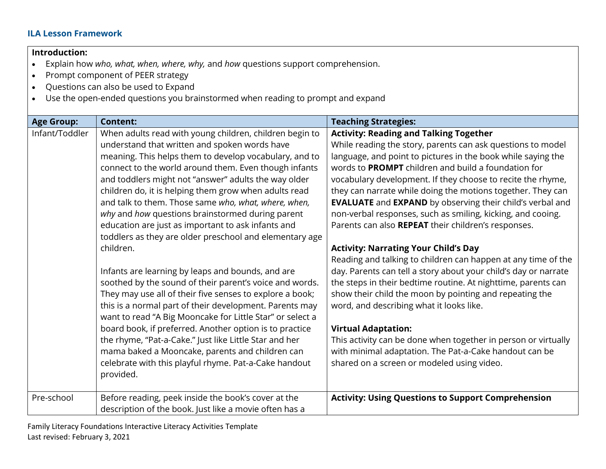# **ILA Lesson Framework**

# **Introduction:**

- Explain how *who, what, when, where, why,* and *how* questions support comprehension.
- Prompt component of PEER strategy
- Questions can also be used to Expand
- Use the open-ended questions you brainstormed when reading to prompt and expand

| When adults read with young children, children begin to                                                                                                                                                                                                                                                                                                                                                                                                                                                                                                                                                                                                                                                                                                                                                                                                                                                                                                                                                                                                                       | <b>Activity: Reading and Talking Together</b>                                                                                                                                                                                                                                                                                                                                                                                                                                                                                                                                                                                                                                                                                                                                                                                                                                                                                                                                                                                                                                        |
|-------------------------------------------------------------------------------------------------------------------------------------------------------------------------------------------------------------------------------------------------------------------------------------------------------------------------------------------------------------------------------------------------------------------------------------------------------------------------------------------------------------------------------------------------------------------------------------------------------------------------------------------------------------------------------------------------------------------------------------------------------------------------------------------------------------------------------------------------------------------------------------------------------------------------------------------------------------------------------------------------------------------------------------------------------------------------------|--------------------------------------------------------------------------------------------------------------------------------------------------------------------------------------------------------------------------------------------------------------------------------------------------------------------------------------------------------------------------------------------------------------------------------------------------------------------------------------------------------------------------------------------------------------------------------------------------------------------------------------------------------------------------------------------------------------------------------------------------------------------------------------------------------------------------------------------------------------------------------------------------------------------------------------------------------------------------------------------------------------------------------------------------------------------------------------|
| understand that written and spoken words have<br>meaning. This helps them to develop vocabulary, and to<br>connect to the world around them. Even though infants<br>and toddlers might not "answer" adults the way older<br>children do, it is helping them grow when adults read<br>and talk to them. Those same who, what, where, when,<br>why and how questions brainstormed during parent<br>education are just as important to ask infants and<br>toddlers as they are older preschool and elementary age<br>children.<br>Infants are learning by leaps and bounds, and are<br>soothed by the sound of their parent's voice and words.<br>They may use all of their five senses to explore a book;<br>this is a normal part of their development. Parents may<br>want to read "A Big Mooncake for Little Star" or select a<br>board book, if preferred. Another option is to practice<br>the rhyme, "Pat-a-Cake." Just like Little Star and her<br>mama baked a Mooncake, parents and children can<br>celebrate with this playful rhyme. Pat-a-Cake handout<br>provided. | While reading the story, parents can ask questions to model<br>language, and point to pictures in the book while saying the<br>words to PROMPT children and build a foundation for<br>vocabulary development. If they choose to recite the rhyme,<br>they can narrate while doing the motions together. They can<br><b>EVALUATE</b> and <b>EXPAND</b> by observing their child's verbal and<br>non-verbal responses, such as smiling, kicking, and cooing.<br>Parents can also REPEAT their children's responses.<br><b>Activity: Narrating Your Child's Day</b><br>Reading and talking to children can happen at any time of the<br>day. Parents can tell a story about your child's day or narrate<br>the steps in their bedtime routine. At nighttime, parents can<br>show their child the moon by pointing and repeating the<br>word, and describing what it looks like.<br><b>Virtual Adaptation:</b><br>This activity can be done when together in person or virtually<br>with minimal adaptation. The Pat-a-Cake handout can be<br>shared on a screen or modeled using video. |
| Before reading, peek inside the book's cover at the<br>description of the book. Just like a movie often has a                                                                                                                                                                                                                                                                                                                                                                                                                                                                                                                                                                                                                                                                                                                                                                                                                                                                                                                                                                 | <b>Activity: Using Questions to Support Comprehension</b>                                                                                                                                                                                                                                                                                                                                                                                                                                                                                                                                                                                                                                                                                                                                                                                                                                                                                                                                                                                                                            |
|                                                                                                                                                                                                                                                                                                                                                                                                                                                                                                                                                                                                                                                                                                                                                                                                                                                                                                                                                                                                                                                                               |                                                                                                                                                                                                                                                                                                                                                                                                                                                                                                                                                                                                                                                                                                                                                                                                                                                                                                                                                                                                                                                                                      |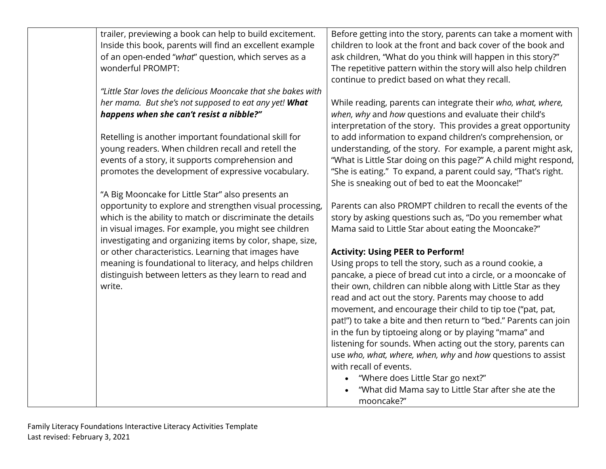| trailer, previewing a book can help to build excitement.<br>Inside this book, parents will find an excellent example<br>of an open-ended "what" question, which serves as a<br>wonderful PROMPT:                                                                                                                                      | Before getting into the story, parents can take a moment with<br>children to look at the front and back cover of the book and<br>ask children, "What do you think will happen in this story?"<br>The repetitive pattern within the story will also help children<br>continue to predict based on what they recall.                                                                                                                                                                                                                                                                                                                                                                                                                                            |
|---------------------------------------------------------------------------------------------------------------------------------------------------------------------------------------------------------------------------------------------------------------------------------------------------------------------------------------|---------------------------------------------------------------------------------------------------------------------------------------------------------------------------------------------------------------------------------------------------------------------------------------------------------------------------------------------------------------------------------------------------------------------------------------------------------------------------------------------------------------------------------------------------------------------------------------------------------------------------------------------------------------------------------------------------------------------------------------------------------------|
| "Little Star loves the delicious Mooncake that she bakes with<br>her mama. But she's not supposed to eat any yet! What<br>happens when she can't resist a nibble?"<br>Retelling is another important foundational skill for<br>young readers. When children recall and retell the<br>events of a story, it supports comprehension and | While reading, parents can integrate their who, what, where,<br>when, why and how questions and evaluate their child's<br>interpretation of the story. This provides a great opportunity<br>to add information to expand children's comprehension, or<br>understanding, of the story. For example, a parent might ask,<br>"What is Little Star doing on this page?" A child might respond,                                                                                                                                                                                                                                                                                                                                                                    |
| promotes the development of expressive vocabulary.<br>"A Big Mooncake for Little Star" also presents an                                                                                                                                                                                                                               | "She is eating." To expand, a parent could say, "That's right.<br>She is sneaking out of bed to eat the Mooncake!"                                                                                                                                                                                                                                                                                                                                                                                                                                                                                                                                                                                                                                            |
| opportunity to explore and strengthen visual processing,<br>which is the ability to match or discriminate the details<br>in visual images. For example, you might see children<br>investigating and organizing items by color, shape, size,                                                                                           | Parents can also PROMPT children to recall the events of the<br>story by asking questions such as, "Do you remember what<br>Mama said to Little Star about eating the Mooncake?"                                                                                                                                                                                                                                                                                                                                                                                                                                                                                                                                                                              |
| or other characteristics. Learning that images have<br>meaning is foundational to literacy, and helps children<br>distinguish between letters as they learn to read and<br>write.                                                                                                                                                     | <b>Activity: Using PEER to Perform!</b><br>Using props to tell the story, such as a round cookie, a<br>pancake, a piece of bread cut into a circle, or a mooncake of<br>their own, children can nibble along with Little Star as they<br>read and act out the story. Parents may choose to add<br>movement, and encourage their child to tip toe ("pat, pat,<br>pat!") to take a bite and then return to "bed." Parents can join<br>in the fun by tiptoeing along or by playing "mama" and<br>listening for sounds. When acting out the story, parents can<br>use who, what, where, when, why and how questions to assist<br>with recall of events.<br>"Where does Little Star go next?"<br>"What did Mama say to Little Star after she ate the<br>mooncake?" |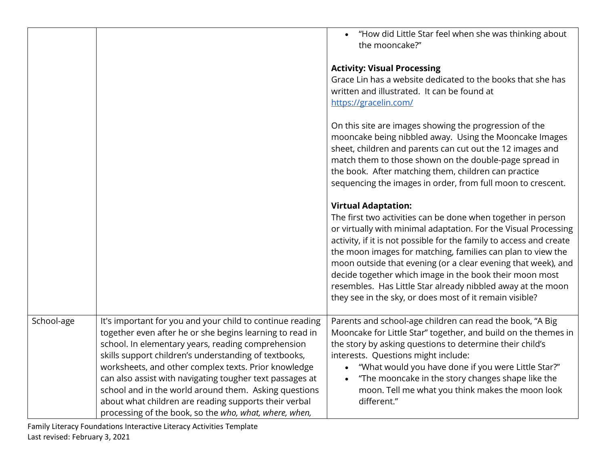|            |                                                                                                                                                                                                                                                                                                                                                                                                                                                                                                                                      | "How did Little Star feel when she was thinking about<br>the mooncake?"                                                                                                                                                                                                                                                                                                                                                                                                                                                                                   |
|------------|--------------------------------------------------------------------------------------------------------------------------------------------------------------------------------------------------------------------------------------------------------------------------------------------------------------------------------------------------------------------------------------------------------------------------------------------------------------------------------------------------------------------------------------|-----------------------------------------------------------------------------------------------------------------------------------------------------------------------------------------------------------------------------------------------------------------------------------------------------------------------------------------------------------------------------------------------------------------------------------------------------------------------------------------------------------------------------------------------------------|
|            |                                                                                                                                                                                                                                                                                                                                                                                                                                                                                                                                      | <b>Activity: Visual Processing</b><br>Grace Lin has a website dedicated to the books that she has<br>written and illustrated. It can be found at<br>https://gracelin.com/                                                                                                                                                                                                                                                                                                                                                                                 |
|            |                                                                                                                                                                                                                                                                                                                                                                                                                                                                                                                                      | On this site are images showing the progression of the<br>mooncake being nibbled away. Using the Mooncake Images<br>sheet, children and parents can cut out the 12 images and<br>match them to those shown on the double-page spread in<br>the book. After matching them, children can practice<br>sequencing the images in order, from full moon to crescent.                                                                                                                                                                                            |
|            |                                                                                                                                                                                                                                                                                                                                                                                                                                                                                                                                      | <b>Virtual Adaptation:</b><br>The first two activities can be done when together in person<br>or virtually with minimal adaptation. For the Visual Processing<br>activity, if it is not possible for the family to access and create<br>the moon images for matching, families can plan to view the<br>moon outside that evening (or a clear evening that week), and<br>decide together which image in the book their moon most<br>resembles. Has Little Star already nibbled away at the moon<br>they see in the sky, or does most of it remain visible? |
| School-age | It's important for you and your child to continue reading<br>together even after he or she begins learning to read in<br>school. In elementary years, reading comprehension<br>skills support children's understanding of textbooks,<br>worksheets, and other complex texts. Prior knowledge<br>can also assist with navigating tougher text passages at<br>school and in the world around them. Asking questions<br>about what children are reading supports their verbal<br>processing of the book, so the who, what, where, when, | Parents and school-age children can read the book, "A Big<br>Mooncake for Little Star" together, and build on the themes in<br>the story by asking questions to determine their child's<br>interests. Questions might include:<br>"What would you have done if you were Little Star?"<br>$\bullet$<br>"The mooncake in the story changes shape like the<br>$\bullet$<br>moon. Tell me what you think makes the moon look<br>different."                                                                                                                   |

Family Literacy Foundations Interactive Literacy Activities Template Last revised: February 3, 2021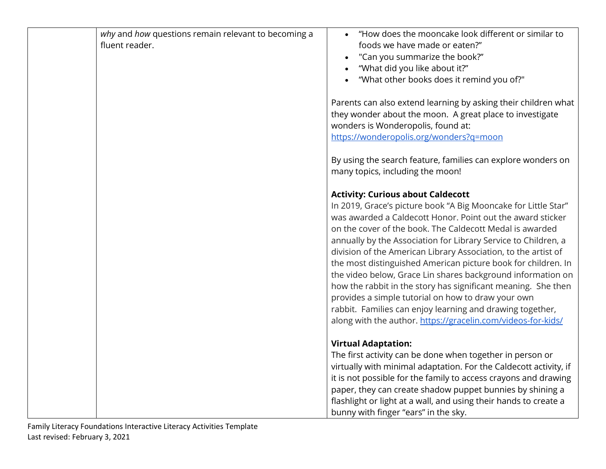| why and how questions remain relevant to becoming a<br>fluent reader. | "How does the mooncake look different or similar to<br>foods we have made or eaten?"<br>"Can you summarize the book?"<br>"What did you like about it?"<br>"What other books does it remind you of?"                                                                                                                                                                                                                                                                                                                                                                                                                                                                                                                                                          |
|-----------------------------------------------------------------------|--------------------------------------------------------------------------------------------------------------------------------------------------------------------------------------------------------------------------------------------------------------------------------------------------------------------------------------------------------------------------------------------------------------------------------------------------------------------------------------------------------------------------------------------------------------------------------------------------------------------------------------------------------------------------------------------------------------------------------------------------------------|
|                                                                       | Parents can also extend learning by asking their children what<br>they wonder about the moon. A great place to investigate<br>wonders is Wonderopolis, found at:<br>https://wonderopolis.org/wonders?q=moon                                                                                                                                                                                                                                                                                                                                                                                                                                                                                                                                                  |
|                                                                       | By using the search feature, families can explore wonders on<br>many topics, including the moon!                                                                                                                                                                                                                                                                                                                                                                                                                                                                                                                                                                                                                                                             |
|                                                                       | <b>Activity: Curious about Caldecott</b><br>In 2019, Grace's picture book "A Big Mooncake for Little Star"<br>was awarded a Caldecott Honor. Point out the award sticker<br>on the cover of the book. The Caldecott Medal is awarded<br>annually by the Association for Library Service to Children, a<br>division of the American Library Association, to the artist of<br>the most distinguished American picture book for children. In<br>the video below, Grace Lin shares background information on<br>how the rabbit in the story has significant meaning. She then<br>provides a simple tutorial on how to draw your own<br>rabbit. Families can enjoy learning and drawing together,<br>along with the author. https://gracelin.com/videos-for-kids/ |
|                                                                       | <b>Virtual Adaptation:</b><br>The first activity can be done when together in person or<br>virtually with minimal adaptation. For the Caldecott activity, if<br>it is not possible for the family to access crayons and drawing<br>paper, they can create shadow puppet bunnies by shining a<br>flashlight or light at a wall, and using their hands to create a<br>bunny with finger "ears" in the sky.                                                                                                                                                                                                                                                                                                                                                     |